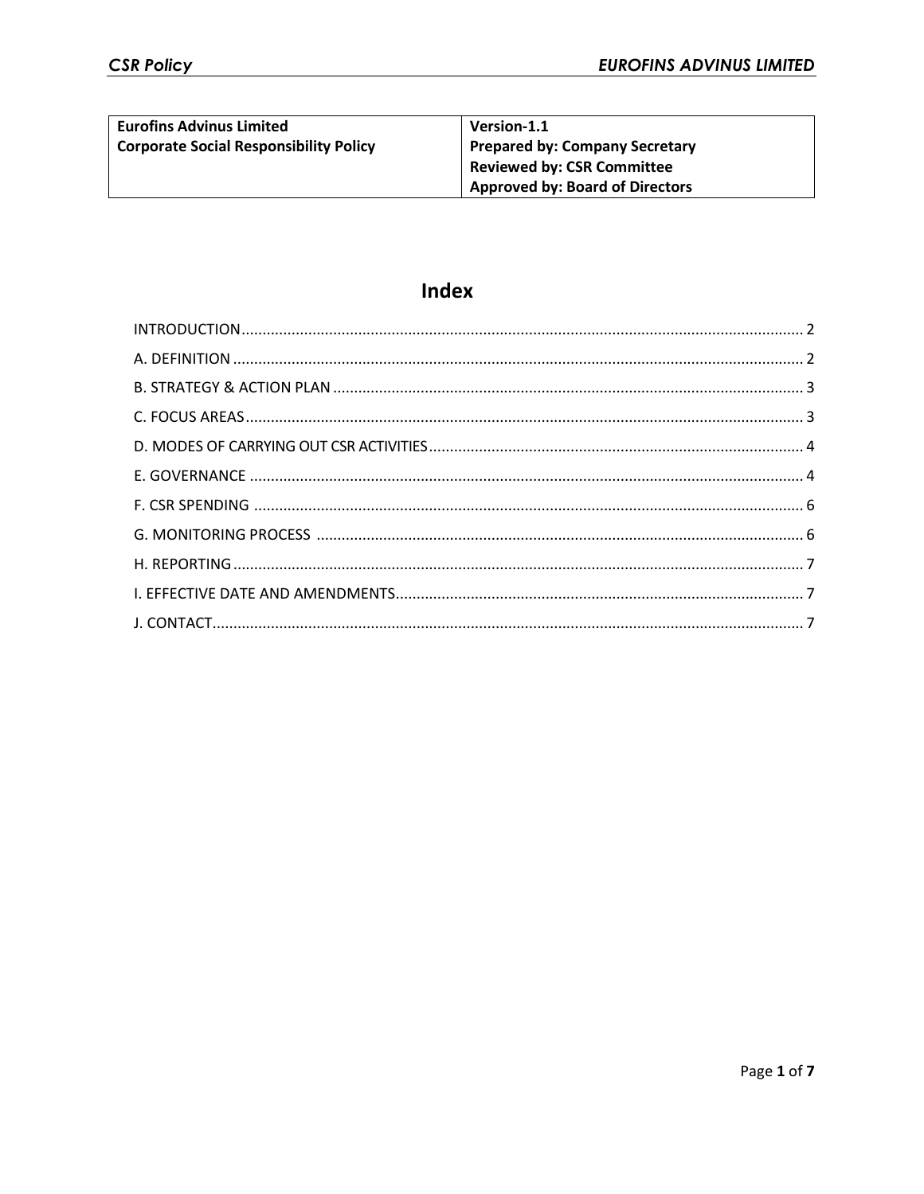| <b>Eurofins Advinus Limited</b>               | Version-1.1                            |
|-----------------------------------------------|----------------------------------------|
| <b>Corporate Social Responsibility Policy</b> | <b>Prepared by: Company Secretary</b>  |
|                                               | Reviewed by: CSR Committee             |
|                                               | <b>Approved by: Board of Directors</b> |

# **Index**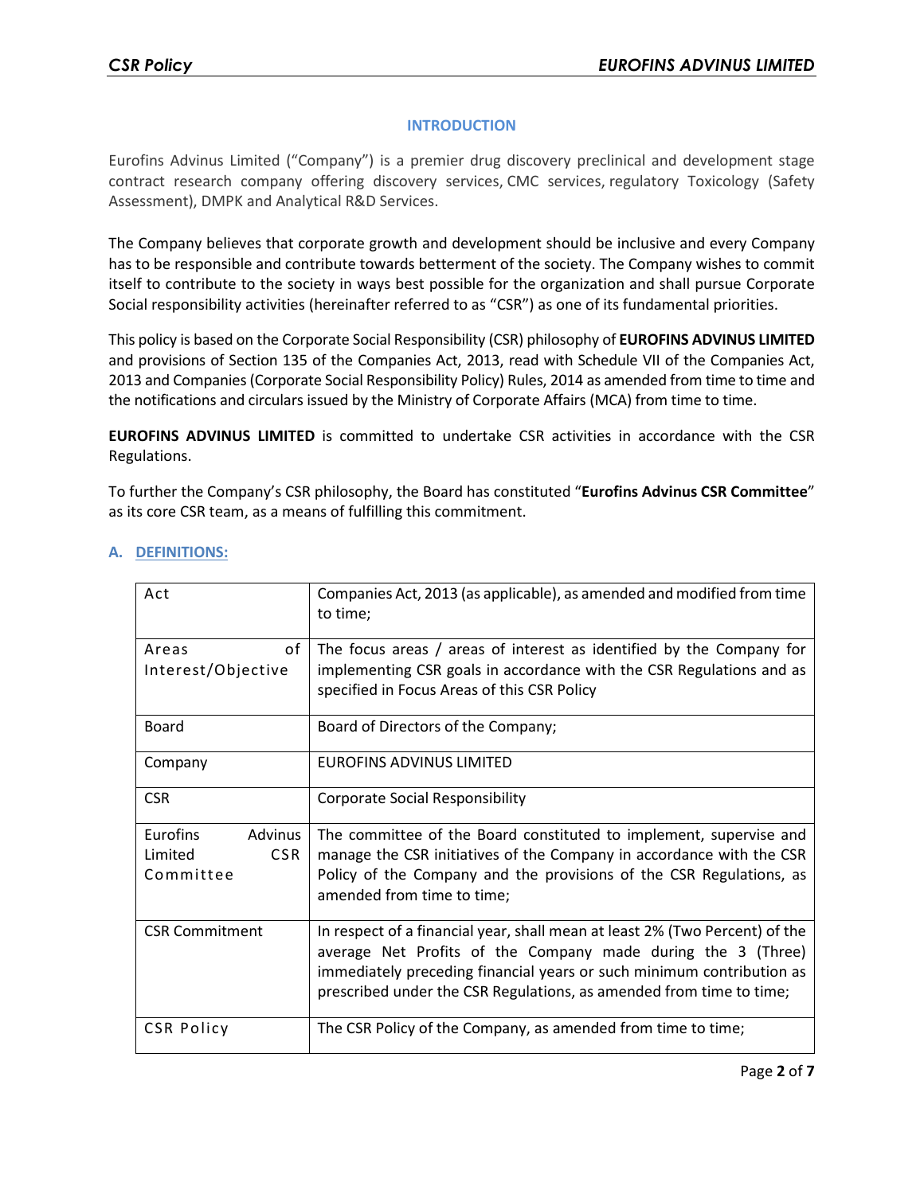## **INTRODUCTION**

Eurofins Advinus Limited ("Company") is a premier drug discovery preclinical and development stage contract research company offering discovery services, CMC services, regulatory Toxicology (Safety Assessment), DMPK and Analytical R&D Services.

The Company believes that corporate growth and development should be inclusive and every Company has to be responsible and contribute towards betterment of the society. The Company wishes to commit itself to contribute to the society in ways best possible for the organization and shall pursue Corporate Social responsibility activities (hereinafter referred to as "CSR") as one of its fundamental priorities.

This policy is based on the Corporate Social Responsibility (CSR) philosophy of **EUROFINS ADVINUS LIMITED** and provisions of Section 135 of the Companies Act, 2013, read with Schedule VII of the Companies Act, 2013 and Companies (Corporate Social Responsibility Policy) Rules, 2014 as amended from time to time and the notifications and circulars issued by the Ministry of Corporate Affairs (MCA) from time to time.

**EUROFINS ADVINUS LIMITED** is committed to undertake CSR activities in accordance with the CSR Regulations.

To further the Company's CSR philosophy, the Board has constituted "**Eurofins Advinus CSR Committee**" as its core CSR team, as a means of fulfilling this commitment.

| Act                                | Companies Act, 2013 (as applicable), as amended and modified from time<br>to time;                                                                                                                                   |
|------------------------------------|----------------------------------------------------------------------------------------------------------------------------------------------------------------------------------------------------------------------|
| of<br>Areas<br>Interest/Objective  | The focus areas / areas of interest as identified by the Company for<br>implementing CSR goals in accordance with the CSR Regulations and as                                                                         |
|                                    | specified in Focus Areas of this CSR Policy                                                                                                                                                                          |
| <b>Board</b>                       | Board of Directors of the Company;                                                                                                                                                                                   |
| Company                            | EUROFINS ADVINUS LIMITED                                                                                                                                                                                             |
| <b>CSR</b>                         | <b>Corporate Social Responsibility</b>                                                                                                                                                                               |
| Eurofins<br>Advinus                | The committee of the Board constituted to implement, supervise and                                                                                                                                                   |
| <b>CSR</b><br>Limited<br>Committee | manage the CSR initiatives of the Company in accordance with the CSR<br>Policy of the Company and the provisions of the CSR Regulations, as                                                                          |
|                                    | amended from time to time;                                                                                                                                                                                           |
| <b>CSR Commitment</b>              | In respect of a financial year, shall mean at least 2% (Two Percent) of the<br>average Net Profits of the Company made during the 3 (Three)<br>immediately preceding financial years or such minimum contribution as |
|                                    | prescribed under the CSR Regulations, as amended from time to time;                                                                                                                                                  |
| <b>CSR Policy</b>                  | The CSR Policy of the Company, as amended from time to time;                                                                                                                                                         |

## **A. DEFINITIONS:**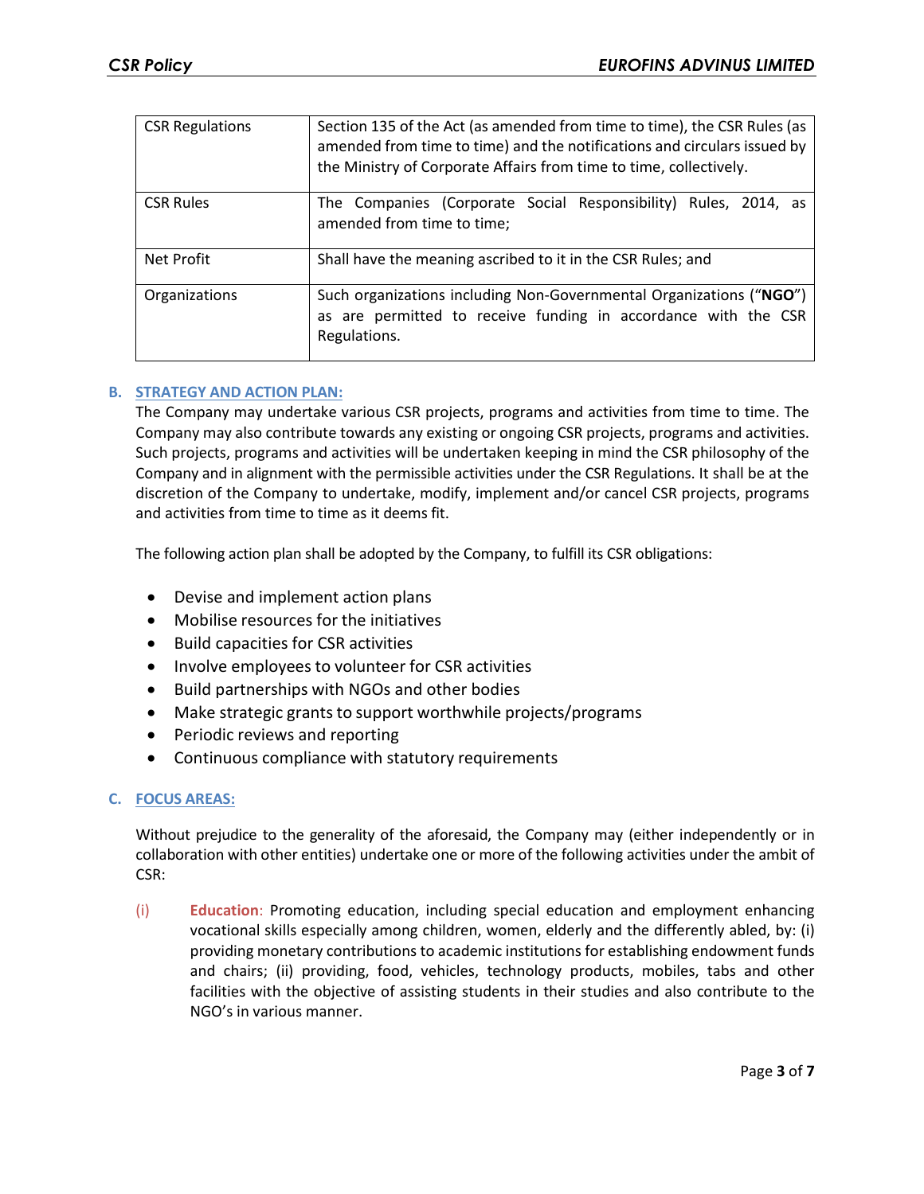| <b>CSR Regulations</b> | Section 135 of the Act (as amended from time to time), the CSR Rules (as<br>amended from time to time) and the notifications and circulars issued by<br>the Ministry of Corporate Affairs from time to time, collectively. |
|------------------------|----------------------------------------------------------------------------------------------------------------------------------------------------------------------------------------------------------------------------|
| <b>CSR Rules</b>       | The Companies (Corporate Social Responsibility) Rules, 2014, as<br>amended from time to time;                                                                                                                              |
| Net Profit             | Shall have the meaning ascribed to it in the CSR Rules; and                                                                                                                                                                |
| Organizations          | Such organizations including Non-Governmental Organizations ("NGO")<br>as are permitted to receive funding in accordance with the CSR<br>Regulations.                                                                      |

## **B. STRATEGY AND ACTION PLAN:**

The Company may undertake various CSR projects, programs and activities from time to time. The Company may also contribute towards any existing or ongoing CSR projects, programs and activities. Such projects, programs and activities will be undertaken keeping in mind the CSR philosophy of the Company and in alignment with the permissible activities under the CSR Regulations. It shall be at the discretion of the Company to undertake, modify, implement and/or cancel CSR projects, programs and activities from time to time as it deems fit.

The following action plan shall be adopted by the Company, to fulfill its CSR obligations:

- Devise and implement action plans
- Mobilise resources for the initiatives
- Build capacities for CSR activities
- Involve employees to volunteer for CSR activities
- Build partnerships with NGOs and other bodies
- Make strategic grants to support worthwhile projects/programs
- Periodic reviews and reporting
- Continuous compliance with statutory requirements

# **C. FOCUS AREAS:**

Without prejudice to the generality of the aforesaid, the Company may (either independently or in collaboration with other entities) undertake one or more of the following activities under the ambit of CSR:

(i) **Education**: Promoting education, including special education and employment enhancing vocational skills especially among children, women, elderly and the differently abled, by: (i) providing monetary contributions to academic institutions for establishing endowment funds and chairs; (ii) providing, food, vehicles, technology products, mobiles, tabs and other facilities with the objective of assisting students in their studies and also contribute to the NGO's in various manner.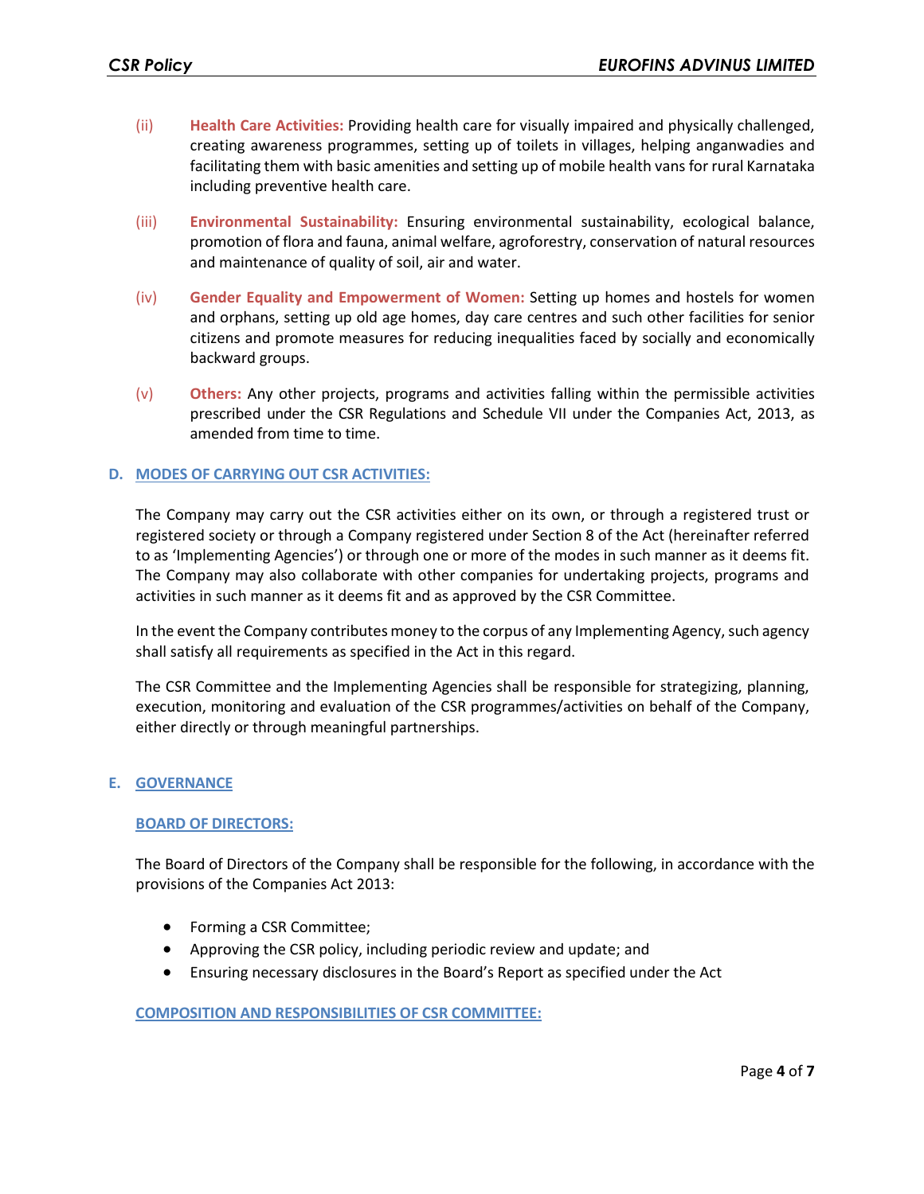- (ii) **Health Care Activities:** Providing health care for visually impaired and physically challenged, creating awareness programmes, setting up of toilets in villages, helping anganwadies and facilitating them with basic amenities and setting up of mobile health vans for rural Karnataka including preventive health care.
- (iii) **Environmental Sustainability:** Ensuring environmental sustainability, ecological balance, promotion of flora and fauna, animal welfare, agroforestry, conservation of natural resources and maintenance of quality of soil, air and water.
- (iv) **Gender Equality and Empowerment of Women:** Setting up homes and hostels for women and orphans, setting up old age homes, day care centres and such other facilities for senior citizens and promote measures for reducing inequalities faced by socially and economically backward groups.
- (v) **Others:** Any other projects, programs and activities falling within the permissible activities prescribed under the CSR Regulations and Schedule VII under the Companies Act, 2013, as amended from time to time.

#### **D. MODES OF CARRYING OUT CSR ACTIVITIES:**

The Company may carry out the CSR activities either on its own, or through a registered trust or registered society or through a Company registered under Section 8 of the Act (hereinafter referred to as 'Implementing Agencies') or through one or more of the modes in such manner as it deems fit. The Company may also collaborate with other companies for undertaking projects, programs and activities in such manner as it deems fit and as approved by the CSR Committee.

In the event the Company contributes money to the corpus of any Implementing Agency, such agency shall satisfy all requirements as specified in the Act in this regard.

The CSR Committee and the Implementing Agencies shall be responsible for strategizing, planning, execution, monitoring and evaluation of the CSR programmes/activities on behalf of the Company, either directly or through meaningful partnerships.

#### **E. GOVERNANCE**

#### **BOARD OF DIRECTORS:**

The Board of Directors of the Company shall be responsible for the following, in accordance with the provisions of the Companies Act 2013:

- Forming a CSR Committee;
- Approving the CSR policy, including periodic review and update; and
- Ensuring necessary disclosures in the Board's Report as specified under the Act

#### **COMPOSITION AND RESPONSIBILITIES OF CSR COMMITTEE:**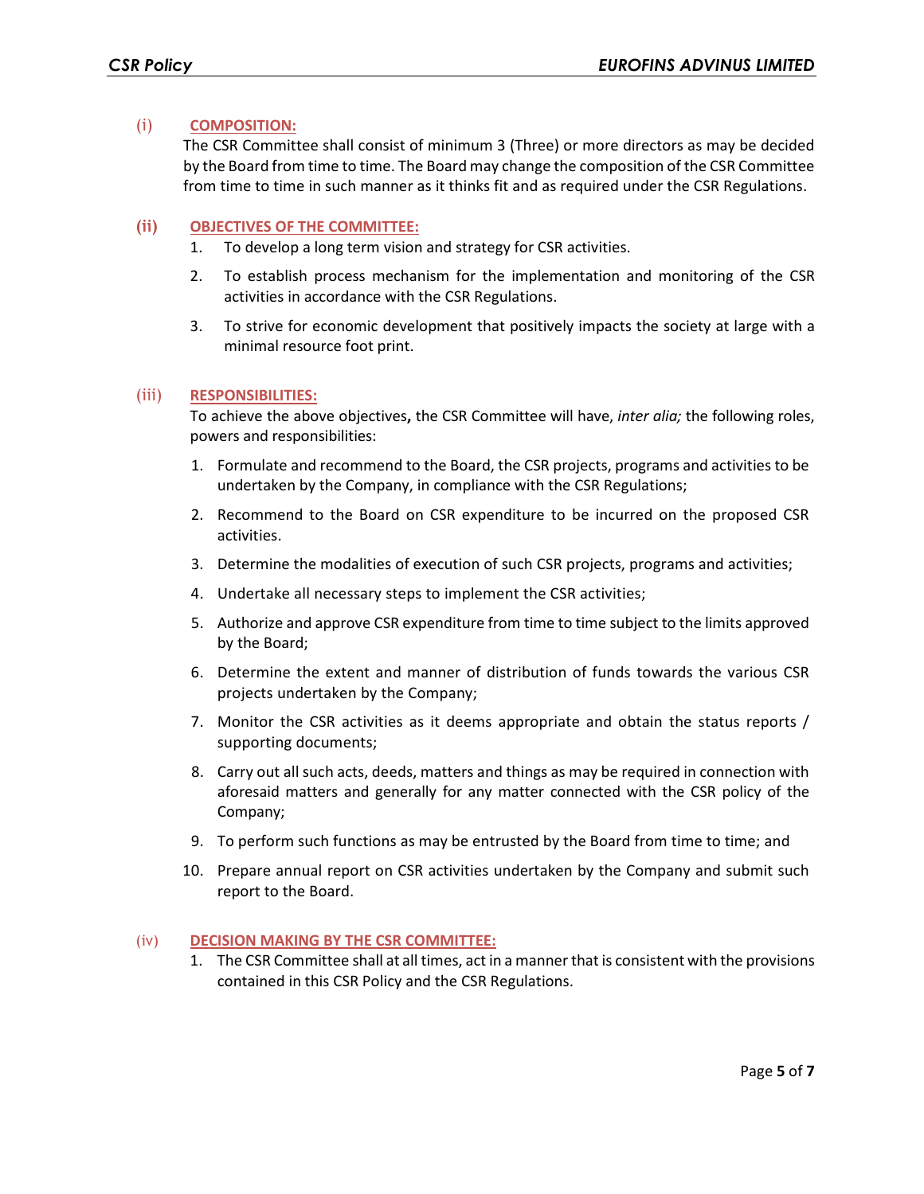## (i) **COMPOSITION:**

The CSR Committee shall consist of minimum 3 (Three) or more directors as may be decided by the Board from time to time. The Board may change the composition of the CSR Committee from time to time in such manner as it thinks fit and as required under the CSR Regulations.

#### **(ii) OBJECTIVES OF THE COMMITTEE:**

- 1. To develop a long term vision and strategy for CSR activities.
- 2. To establish process mechanism for the implementation and monitoring of the CSR activities in accordance with the CSR Regulations.
- 3. To strive for economic development that positively impacts the society at large with a minimal resource foot print.

#### (iii) **RESPONSIBILITIES:**

To achieve the above objectives**,** the CSR Committee will have, *inter alia;* the following roles, powers and responsibilities:

- 1. Formulate and recommend to the Board, the CSR projects, programs and activities to be undertaken by the Company, in compliance with the CSR Regulations;
- 2. Recommend to the Board on CSR expenditure to be incurred on the proposed CSR activities.
- 3. Determine the modalities of execution of such CSR projects, programs and activities;
- 4. Undertake all necessary steps to implement the CSR activities;
- 5. Authorize and approve CSR expenditure from time to time subject to the limits approved by the Board;
- 6. Determine the extent and manner of distribution of funds towards the various CSR projects undertaken by the Company;
- 7. Monitor the CSR activities as it deems appropriate and obtain the status reports / supporting documents;
- 8. Carry out all such acts, deeds, matters and things as may be required in connection with aforesaid matters and generally for any matter connected with the CSR policy of the Company;
- 9. To perform such functions as may be entrusted by the Board from time to time; and
- 10. Prepare annual report on CSR activities undertaken by the Company and submit such report to the Board.

#### (iv) **DECISION MAKING BY THE CSR COMMITTEE:**

1. The CSR Committee shall at all times, act in a manner that is consistent with the provisions contained in this CSR Policy and the CSR Regulations.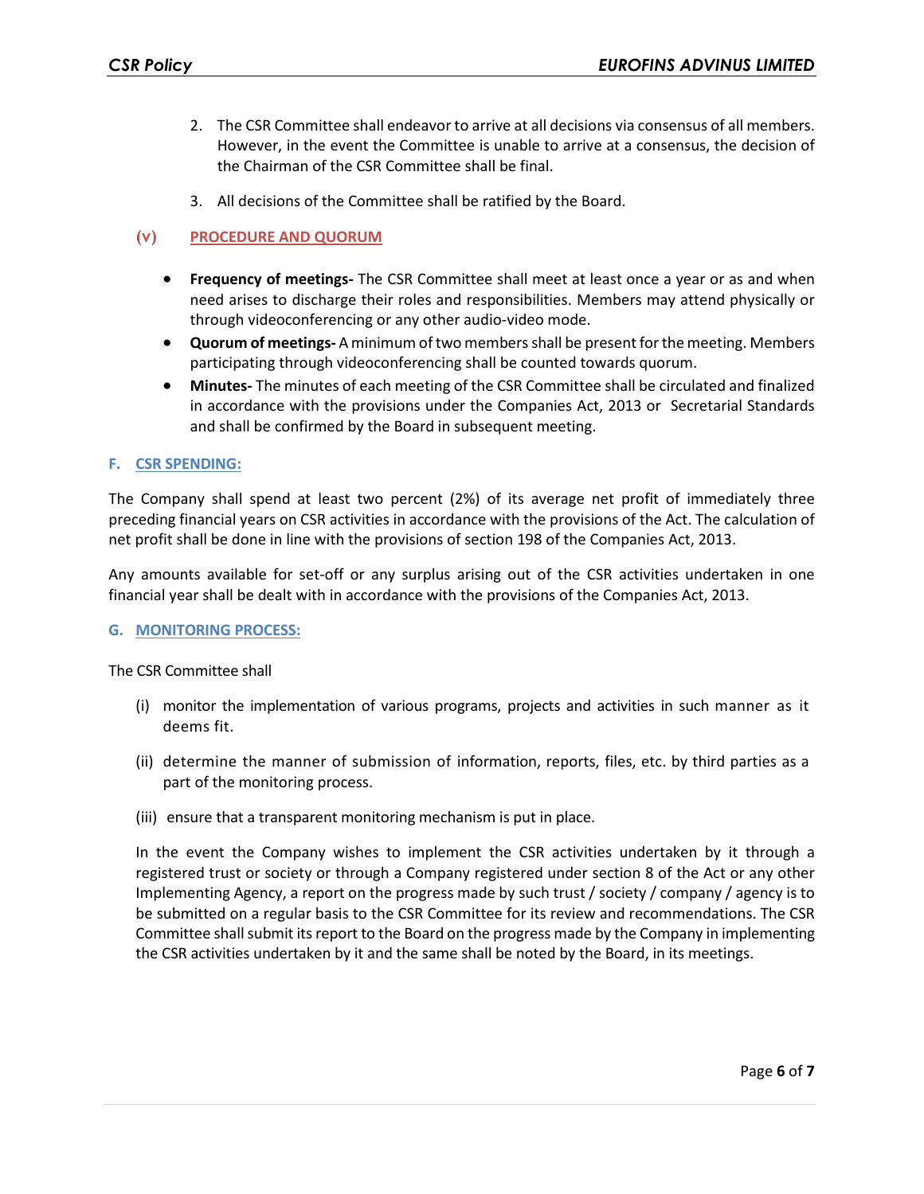- 2. The CSR Committee shall endeavor to arrive at all decisions via consensus of all members. However, in the event the Committee is unable to arrive at a consensus, the decision of the Chairman of the CSR Committee shall be final.
- 3. All decisions of the Committee shall be ratified by the Board.

# **(v) PROCEDURE AND QUORUM**

- **Frequency of meetings-** The CSR Committee shall meet at least once a year or as and when need arises to discharge their roles and responsibilities. Members may attend physically or through videoconferencing or any other audio-video mode.
- **Quorum of meetings-** A minimum of two members shall be present for the meeting. Members participating through videoconferencing shall be counted towards quorum.
- **Minutes-** The minutes of each meeting of the CSR Committee shall be circulated and finalized in accordance with the provisions under the Companies Act, 2013 or Secretarial Standards and shall be confirmed by the Board in subsequent meeting.

## **F. CSR SPENDING:**

The Company shall spend at least two percent (2%) of its average net profit of immediately three preceding financial years on CSR activities in accordance with the provisions of the Act. The calculation of net profit shall be done in line with the provisions of section 198 of the Companies Act, 2013.

Any amounts available for set-off or any surplus arising out of the CSR activities undertaken in one financial year shall be dealt with in accordance with the provisions of the Companies Act, 2013.

#### **G. MONITORING PROCESS:**

The CSR Committee shall

- (i) monitor the implementation of various programs, projects and activities in such manner as it deems fit.
- (ii) determine the manner of submission of information, reports, files, etc. by third parties as a part of the monitoring process.
- (iii) ensure that a transparent monitoring mechanism is put in place.

In the event the Company wishes to implement the CSR activities undertaken by it through a registered trust or society or through a Company registered under section 8 of the Act or any other Implementing Agency, a report on the progress made by such trust / society / company / agency is to be submitted on a regular basis to the CSR Committee for its review and recommendations. The CSR Committee shall submit itsreport to the Board on the progress made by the Company in implementing the CSR activities undertaken by it and the same shall be noted by the Board, in its meetings.